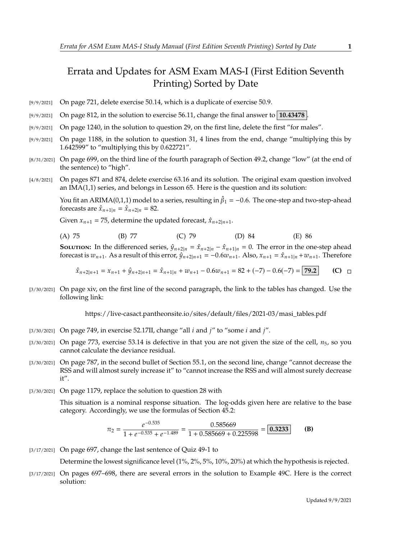## Errata and Updates for ASM Exam MAS-I (First Edition Seventh Printing) Sorted by Date

- [9/9/2021] On page 721, delete exercise 50.14, which is a duplicate of exercise 50.9.
- [9/9/2021] On page 812, in the solution to exercise 56.11, change the final answer to **10.43478** .
- [9/9/2021] On page 1240, in the solution to question 29, on the first line, delete the first "for males".
- [9/9/2021] On page 1188, in the solution to question 31, 4 lines from the end, change "multiplying this by 1.642599" to "multiplying this by 0.622721".
- [8/31/2021] On page 699, on the third line of the fourth paragraph of Section 49.2, change "low" (at the end of the sentence) to "high".
- [4/8/2021] On pages 871 and 874, delete exercise 63.16 and its solution. The original exam question involved an IMA(1,1) series, and belongs in Lesson 65. Here is the question and its solution:

You fit an ARIMA(0,1,1) model to a series, resulting in  $\hat{\beta}_1 = -0.6$ . The one-step and two-step-ahead forecasts are  $\hat{x}_{n+1} = \hat{x}_{n+2} = 82$ forecasts are  $\hat{x}_{n+1|n} = \hat{x}_{n+2|n} = 82$ .

Given  $x_{n+1} = 75$ , determine the updated forecast,  $\hat{x}_{n+2|n+1}$ .

| (A) 75 | (B) 77 | $(C)$ 79 | (D) 84 | (E) 86 |  |
|--------|--------|----------|--------|--------|--|
|        |        |          |        |        |  |

**SOLUTION:** In the differenced series,  $\hat{y}_{n+2|n} = \hat{x}_{n+2|n} - \hat{x}_{n+1|n} = 0$ . The error in the one-step ahead forecast is  $w_{n+1}$ . As a result of this error,  $\hat{y}_{n+2|n+1} = -0.6w_{n+1}$ . Also,  $x_{n+1} = \hat{x}_{n+1|n} + w_{n+1}$ . Therefore

$$
\hat{x}_{n+2|n+1} = x_{n+1} + \hat{y}_{n+2|n+1} = \hat{x}_{n+1|n} + w_{n+1} - 0.6w_{n+1} = 82 + (-7) - 0.6(-7) = 79.2
$$
 (C)  $\Box$ 

[3/30/2021] On page xiv, on the first line of the second paragraph, the link to the tables has changed. Use the following link:

https://live-casact.pantheonsite.io/sites/default/files/2021-03/masi\_tables.pdf

- [3/30/2021] On page 749, in exercise 52.17II, change "all  $i$  and  $j$ " to "some  $i$  and  $j$ ".
- $[3/30/2021]$  On page 773, exercise 53.14 is defective in that you are not given the size of the cell,  $n_5$ , so you cannot calculate the deviance residual.
- [3/30/2021] On page 787, in the second bullet of Section 55.1, on the second line, change "cannot decrease the RSS and will almost surely increase it" to "cannot increase the RSS and will almost surely decrease it".
- [3/30/2021] On page 1179, replace the solution to question 28 with

This situation is a nominal response situation. The log-odds given here are relative to the base category. Accordingly, we use the formulas of Section 45.2:

$$
\pi_2 = \frac{e^{-0.535}}{1 + e^{-0.535} + e^{-1.489}} = \frac{0.585669}{1 + 0.585669 + 0.225598} = \boxed{0.3233}
$$
 (B)

[3/17/2021] On page 697, change the last sentence of Quiz 49-1 to

Determine the lowest significance level (1%, 2%, 5%, 10%, 20%) at which the hypothesis is rejected.

[3/17/2021] On pages 697–698, there are several errors in the solution to Example 49C. Here is the correct solution: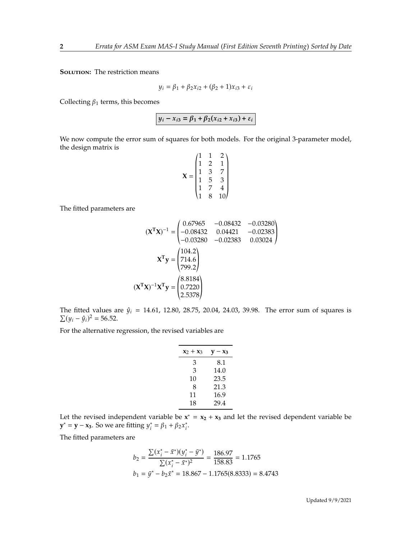**SOLUTION:** The restriction means

$$
y_i = \beta_1 + \beta_2 x_{i2} + (\beta_2 + 1)x_{i3} + \varepsilon_i
$$

Collecting  $\beta_1$  terms, this becomes

 $y_i - x_{i3} = \beta_1 + \beta_2(x_{i2} + x_{i3}) + \varepsilon_i$ 

We now compute the error sum of squares for both models. For the original 3-parameter model, the design matrix is  $(1 \quad 1 \quad 2)$ 

$$
\mathbf{X} = \begin{pmatrix} 1 & 1 & 2 \\ 1 & 2 & 1 \\ 1 & 3 & 7 \\ 1 & 5 & 3 \\ 1 & 7 & 4 \\ 1 & 8 & 10 \end{pmatrix}
$$

The fitted parameters are

$$
(\mathbf{X}^{\mathsf{T}}\mathbf{X})^{-1} = \begin{pmatrix} 0.67965 & -0.08432 & -0.03280 \\ -0.08432 & 0.04421 & -0.02383 \\ -0.03280 & -0.02383 & 0.03024 \end{pmatrix}
$$

$$
\mathbf{X}^{\mathsf{T}}\mathbf{y} = \begin{pmatrix} 104.2 \\ 714.6 \\ 799.2 \end{pmatrix}
$$

$$
(\mathbf{X}^{\mathsf{T}}\mathbf{X})^{-1}\mathbf{X}^{\mathsf{T}}\mathbf{y} = \begin{pmatrix} 8.8184 \\ 0.7220 \\ 2.5378 \end{pmatrix}
$$

« ¬ The fitted values are  $\hat{y}_i = 14.61$ , 12.80, 28.75, 20.04, 24.03, 39.98. The error sum of squares is  $\Sigma (u_i - \hat{u}_i)^2 = 56.52$  $\sum (y_i - \hat{y}_i)^2 = 56.52.$ 

For the alternative regression, the revised variables are

| $x_2 + x_3$ | $\mathbf{v}-\mathbf{x}_3$ |
|-------------|---------------------------|
| З           | 8.1                       |
| 3           | 14.0                      |
| 10          | 23.5                      |
| 8           | 21.3                      |
| 11          | 16.9                      |
| 18          | 29.4                      |

Let the revised independent variable be  $x^* = x_2 + x_3$  and let the revised dependent variable be **y**<sup>\*</sup> = **y** − **x**<sub>3</sub>. So we are fitting  $y_i^* = \beta_1 + \beta_2 x_i^*$ .

The fitted parameters are

$$
b_2 = \frac{\sum (x_i^* - \bar{x}^*)(y_i^* - \bar{y}^*)}{\sum (x_i^* - \bar{x}^*)^2} = \frac{186.97}{158.83} = 1.1765
$$
  

$$
b_1 = \bar{y}^* - b_2 \bar{x}^* = 18.867 - 1.1765(8.8333) = 8.4743
$$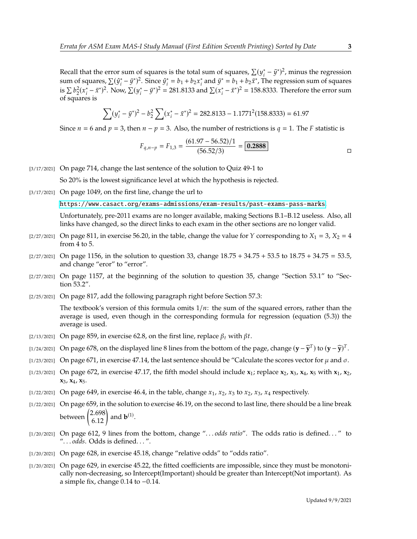Recall that the error sum of squares is the total sum of squares,  $\sum (y_i^* - \bar{y}^*)^2$ , minus the regression<br>sum of squares,  $\sum (G^* - \bar{g}^*)^2$ . Since  $G^* = h + h$  of and  $\bar{g}^* = h + h + \bar{g}^*$ . The regression sum of squares sum of squares,  $\sum (\hat{y}_i^* - \bar{y}^*)^2$ . Since  $\hat{y}_i^* = b_1 + b_2 x_i^*$  and  $\bar{y}^* = b_1 + b_2 \bar{x}^*$ , The regression sum of squares is  $\sum b_2^2 (x_i^* - \bar{x}^*)^2$ . Now,  $\sum (y_i^* - \bar{y}^*)^2 = 281.8133$  and  $\sum (x_i^* - \bar{x}^*)^2 = 158.8333$ . Therefore the error sum  $\sum_{1}^{n} \frac{1}{2}$  of squares is

$$
\sum (y_i^* - \bar{y}^*)^2 - b_2^2 \sum (x_i^* - \bar{x}^*)^2 = 282.8133 - 1.1771^2 (158.8333) = 61.97
$$

Since  $n = 6$  and  $p = 3$ , then  $n - p = 3$ . Also, the number of restrictions is  $q = 1$ . The F statistic is

$$
F_{q,n-p} = F_{1,3} = \frac{(61.97 - 56.52)/1}{(56.52/3)} = \boxed{0.2888}
$$

[3/17/2021] On page 714, change the last sentence of the solution to Quiz 49-1 to

So 20% is the lowest significance level at which the hypothesis is rejected.

[3/17/2021] On page 1049, on the first line, change the url to

<https://www.casact.org/exams-admissions/exam-results/past-exams-pass-marks>.

Unfortunately, pre-2011 exams are no longer available, making Sections B.1–B.12 useless. Also, all links have changed, so the direct links to each exam in the other sections are no longer valid.

- $[2/27/2021]$  On page 811, in exercise 56.20, in the table, change the value for Y corresponding to  $X_1 = 3$ ,  $X_2 = 4$ from 4 to 5.
- $[2/27/2021]$  On page 1156, in the solution to question 33, change  $18.75 + 34.75 + 53.5$  to  $18.75 + 34.75 = 53.5$ , and change "eror" to "error".
- $[2/27/2021]$  On page 1157, at the beginning of the solution to question 35, change "Section 53.1" to "Section 53.2".
- [2/25/2021] On page 817, add the following paragraph right before Section 57.3:

The textbook's version of this formula omits  $1/n$ : the sum of the squared errors, rather than the average is used, even though in the corresponding formula for regression (equation (5.3)) the average is used.

- [2/13/2021] On page 859, in exercise 62.8, on the first line, replace  $\beta_t$  with  $\beta t$ .
- [1/24/2021] On page 678, on the displayed line 8 lines from the bottom of the page, change  $(\mathbf{y} \widehat{\mathbf{y}}^T)$  to  $(\mathbf{y} \widehat{\mathbf{y}})^T$ .
- [1/23/2021] On page 671, in exercise 47.14, the last sentence should be "Calculate the scores vector for  $\mu$  and  $\sigma$ .
- [1/23/2021] On page 672, in exercise 47.17, the fifth model should include **x**1; replace **x**2, **x**3, **x**4, **x**<sup>5</sup> with **x**1, **x**2, **x**3, **x**4, **x**5.
- $\lbrack 1/22/2021\rbrack$  On page 649, in exercise 46.4, in the table, change  $x_1$ ,  $x_2$ ,  $x_3$  to  $x_2$ ,  $x_3$ ,  $x_4$  respectively.
- [1/22/2021] On page 659, in the solution to exercise 46.19, on the second to last line, there should be a line break between  $\begin{pmatrix} 2.698 \\ 6.12 \end{pmatrix}$ and  $\mathbf{b}^{(1)}$ .
- [1/20/2021] On page 612, 9 lines from the bottom, change ". . . *odds ratio*". The odds ratio is defined. . . " to ". . . *odds*. Odds is defined. . . ".
- [1/20/2021] On page 628, in exercise 45.18, change "relative odds" to "odds ratio".
- [1/20/2021] On page 629, in exercise 45.22, the fitted coefficients are impossible, since they must be monotonically non-decreasing, so Intercept(Important) should be greater than Intercept(Not important). As a simple fix, change <sup>0</sup>.<sup>14</sup> to <sup>−</sup>0.14.